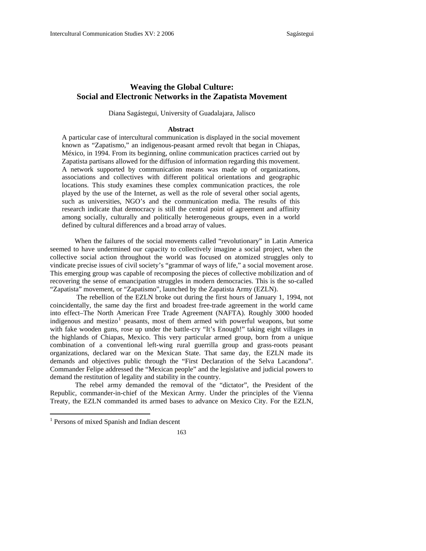# **Weaving the Global Culture: Social and Electronic Networks in the Zapatista Movement**

Diana Sagástegui, University of Guadalajara, Jalisco

## **Abstract**

A particular case of intercultural communication is displayed in the social movement known as "Zapatismo," an indigenous-peasant armed revolt that began in Chiapas, México, in 1994. From its beginning, online communication practices carried out by Zapatista partisans allowed for the diffusion of information regarding this movement. A network supported by communication means was made up of organizations, associations and collectives with different political orientations and geographic locations. This study examines these complex communication practices, the role played by the use of the Internet, as well as the role of several other social agents, such as universities, NGO's and the communication media. The results of this research indicate that democracy is still the central point of agreement and affinity among socially, culturally and politically heterogeneous groups, even in a world defined by cultural differences and a broad array of values.

 When the failures of the social movements called "revolutionary" in Latin America seemed to have undermined our capacity to collectively imagine a social project, when the collective social action throughout the world was focused on atomized struggles only to vindicate precise issues of civil society's "grammar of ways of life," a social movement arose. This emerging group was capable of recomposing the pieces of collective mobilization and of recovering the sense of emancipation struggles in modern democracies. This is the so-called "Zapatista" movement, or "Zapatismo", launched by the Zapatista Army (EZLN).

 The rebellion of the EZLN broke out during the first hours of January 1, 1994, not coincidentally, the same day the first and broadest free-trade agreement in the world came into effect–The North American Free Trade Agreement (NAFTA). Roughly 3000 hooded indigenous and mestizo<sup>[1](#page-0-0)</sup> peasants, most of them armed with powerful weapons, but some with fake wooden guns, rose up under the battle-cry "It's Enough!" taking eight villages in the highlands of Chiapas, Mexico. This very particular armed group, born from a unique combination of a conventional left-wing rural guerrilla group and grass-roots peasant organizations, declared war on the Mexican State. That same day, the EZLN made its demands and objectives public through the "First Declaration of the Selva Lacandona". Commander Felipe addressed the "Mexican people" and the legislative and judicial powers to demand the restitution of legality and stability in the country.

The rebel army demanded the removal of the "dictator", the President of the Republic, commander-in-chief of the Mexican Army. Under the principles of the Vienna Treaty, the EZLN commanded its armed bases to advance on Mexico City. For the EZLN,

<span id="page-0-0"></span><sup>&</sup>lt;sup>1</sup> Persons of mixed Spanish and Indian descent

<sup>163</sup>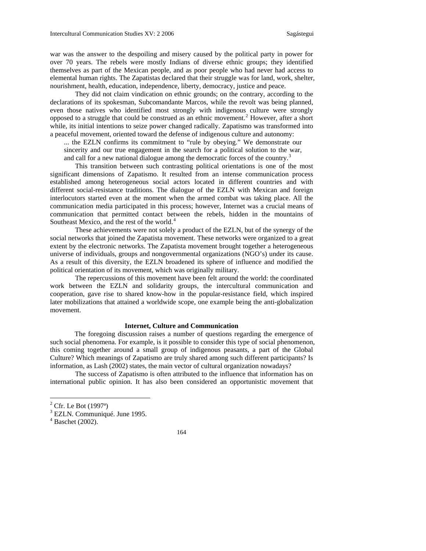war was the answer to the despoiling and misery caused by the political party in power for over 70 years. The rebels were mostly Indians of diverse ethnic groups; they identified themselves as part of the Mexican people, and as poor people who had never had access to elemental human rights. The Zapatistas declared that their struggle was for land, work, shelter, nourishment, health, education, independence, liberty, democracy, justice and peace.

They did not claim vindication on ethnic grounds; on the contrary, according to the declarations of its spokesman, Subcomandante Marcos, while the revolt was being planned, even those natives who identified most strongly with indigenous culture were strongly opposed to a struggle that could be construed as an ethnic movement.<sup>[2](#page-1-0)</sup> However, after a short while, its initial intentions to seize power changed radically. Zapatismo was transformed into a peaceful movement, oriented toward the defense of indigenous culture and autonomy:

... the EZLN confirms its commitment to "rule by obeying." We demonstrate our sincerity and our true engagement in the search for a political solution to the war, and call for a new national dialogue among the democratic forces of the country.<sup>[3](#page-1-1)</sup>

This transition between such contrasting political orientations is one of the most significant dimensions of Zapatismo. It resulted from an intense communication process established among heterogeneous social actors located in different countries and with different social-resistance traditions. The dialogue of the EZLN with Mexican and foreign interlocutors started even at the moment when the armed combat was taking place. All the communication media participated in this process; however, Internet was a crucial means of communication that permitted contact between the rebels, hidden in the mountains of Southeast Mexico, and the rest of the world.<sup>[4](#page-1-2)</sup>

These achievements were not solely a product of the EZLN, but of the synergy of the social networks that joined the Zapatista movement. These networks were organized to a great extent by the electronic networks. The Zapatista movement brought together a heterogeneous universe of individuals, groups and nongovernmental organizations (NGO's) under its cause. As a result of this diversity, the EZLN broadened its sphere of influence and modified the political orientation of its movement, which was originally military.

The repercussions of this movement have been felt around the world: the coordinated work between the EZLN and solidarity groups, the intercultural communication and cooperation, gave rise to shared know-how in the popular-resistance field, which inspired later mobilizations that attained a worldwide scope, one example being the anti-globalization movement.

# **Internet, Culture and Communication**

The foregoing discussion raises a number of questions regarding the emergence of such social phenomena. For example, is it possible to consider this type of social phenomenon, this coming together around a small group of indigenous peasants, a part of the Global Culture? Which meanings of Zapatismo are truly shared among such different participants? Is information, as Lash (2002) states, the main vector of cultural organization nowadays?

The success of Zapatismo is often attributed to the influence that information has on international public opinion. It has also been considered an opportunistic movement that

<span id="page-1-0"></span> $2^2$  Cfr. Le Bot (1997<sup>a</sup>)

<span id="page-1-1"></span><sup>&</sup>lt;sup>3</sup> EZLN. Communiqué. June 1995.

<span id="page-1-2"></span><sup>4</sup> Baschet (2002).

<sup>164</sup>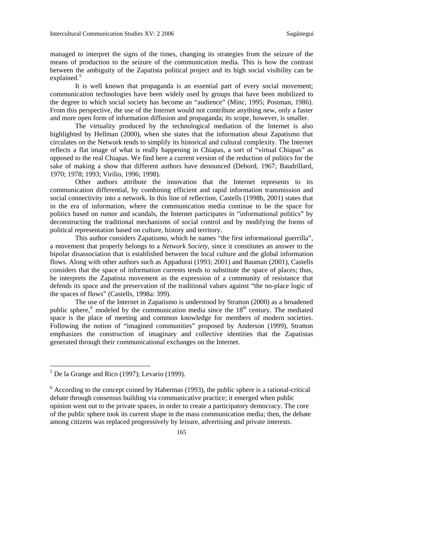managed to interpret the signs of the times, changing its strategies from the seizure of the means of production to the seizure of the communication media. This is how the contrast between the ambiguity of the Zapatista political project and its high social visibility can be explained.<sup>[5](#page-2-0)</sup>

It is well known that propaganda is an essential part of every social movement; communication technologies have been widely used by groups that have been mobilized to the degree to which social society has become an "audience" (Minc, 1995; Postman, 1986). From this perspective, the use of the Internet would not contribute anything new, only a faster and more open form of information diffusion and propaganda; its scope, however, is smaller.

The virtuality produced by the technological mediation of the Internet is also highlighted by Hellman (2000), when she states that the information about Zapatismo that circulates on the Network tends to simplify its historical and cultural complexity. The Internet reflects a flat image of what is really happening in Chiapas, a sort of "virtual Chiapas" as opposed to the real Chiapas. We find here a current version of the reduction of politics for the sake of making a show that different authors have denounced (Debord, 1967; Baudrillard, 1970; 1978; 1993; Virilio, 1996; 1998).

Other authors attribute the innovation that the Internet represents to its communication differential, by combining efficient and rapid information transmission and social connectivity into a network. In this line of reflection, Castells (1998b, 2001) states that in the era of information, where the communication media continue to be the space for politics based on rumor and scandals, the Internet participates in "informational politics" by deconstructing the traditional mechanisms of social control and by modifying the forms of political representation based on culture, history and territory.

This author considers Zapatismo, which he names "the first informational guerrilla", a movement that properly belongs to a *Network Society*, since it constitutes an answer to the bipolar disassociation that is established between the local culture and the global information flows. Along with other authors such as Appadurai (1993; 2001) and Bauman (2001), Castells considers that the space of information currents tends to substitute the space of places; thus, he interprets the Zapatista movement as the expression of a community of resistance that defends its space and the preservation of the traditional values against "the no-place logic of the spaces of flows" (Castells, 1998a: 399).

The use of the Internet in Zapatismo is understood by Stratton (2000) as a broadened public sphere,<sup>[6](#page-2-1)</sup> modeled by the communication media since the  $18<sup>th</sup>$  century. The mediated space is the place of meeting and common knowledge for members of modern societies. Following the notion of "imagined communities" proposed by Anderson (1999), Stratton emphasizes the construction of imaginary and collective identities that the Zapatistas generated through their communicational exchanges on the Internet.

<span id="page-2-0"></span> $<sup>5</sup>$  De la Grange and Rico (1997); Levario (1999).</sup>

<span id="page-2-1"></span> $6$  According to the concept coined by Habermas (1993), the public sphere is a rational-critical debate through consensus building via communicative practice; it emerged when public opinion went out to the private spaces, in order to create a participatory democracy. The core of the public sphere took its current shape in the mass communication media; then, the debate among citizens was replaced progressively by leisure, advertising and private interests.

<sup>165</sup>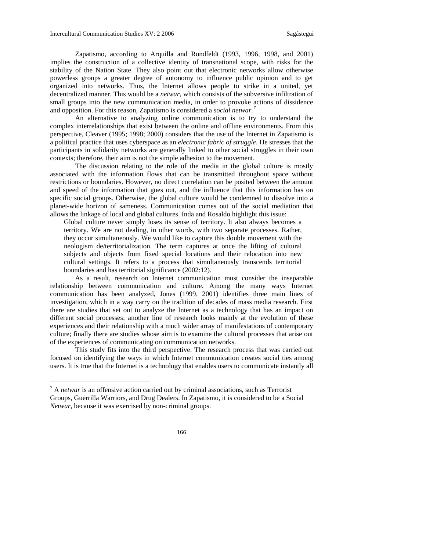Zapatismo, according to Arquilla and Rondfeldt (1993, 1996, 1998, and 2001) implies the construction of a collective identity of transnational scope, with risks for the stability of the Nation State. They also point out that electronic networks allow otherwise powerless groups a greater degree of autonomy to influence public opinion and to get organized into networks. Thus, the Internet allows people to strike in a united, yet decentralized manner. This would be a *netwar*, which consists of the subversive infiltration of small groups into the new communication media, in order to provoke actions of dissidence and opposition. For this reason, Zapatismo is considered a *social netwar.[7](#page-3-0)*

An alternative to analyzing online communication is to try to understand the complex interrelationships that exist between the online and offline environments. From this perspective, Cleaver (1995; 1998; 2000) considers that the use of the Internet in Zapatismo is a political practice that uses cyberspace as an *electronic fabric of struggle*. He stresses that the participants in solidarity networks are generally linked to other social struggles in their own contexts; therefore, their aim is not the simple adhesion to the movement.

The discussion relating to the role of the media in the global culture is mostly associated with the information flows that can be transmitted throughout space without restrictions or boundaries. However, no direct correlation can be posited between the amount and speed of the information that goes out, and the influence that this information has on specific social groups. Otherwise, the global culture would be condemned to dissolve into a planet-wide horizon of sameness. Communication comes out of the social mediation that allows the linkage of local and global cultures. Inda and Rosaldo highlight this issue:

Global culture never simply loses its sense of territory. It also always becomes a territory. We are not dealing, in other words, with two separate processes. Rather, they occur simultaneously. We would like to capture this double movement with the neologism de/territorialization. The term captures at once the lifting of cultural subjects and objects from fixed special locations and their relocation into new cultural settings. It refers to a process that simultaneously transcends territorial boundaries and has territorial significance (2002:12).

As a result, research on Internet communication must consider the inseparable relationship between communication and culture. Among the many ways Internet communication has been analyzed, Jones (1999, 2001) identifies three main lines of investigation, which in a way carry on the tradition of decades of mass media research. First there are studies that set out to analyze the Internet as a technology that has an impact on different social processes; another line of research looks mainly at the evolution of these experiences and their relationship with a much wider array of manifestations of contemporary culture; finally there are studies whose aim is to examine the cultural processes that arise out of the experiences of communicating on communication networks.

This study fits into the third perspective. The research process that was carried out focused on identifying the ways in which Internet communication creates social ties among users. It is true that the Internet is a technology that enables users to communicate instantly all

<span id="page-3-0"></span><sup>7</sup> A *netwar* is an offensive action carried out by criminal associations, such as Terrorist Groups, Guerrilla Warriors, and Drug Dealers. In Zapatismo, it is considered to be a Social *Netwar*, because it was exercised by non-criminal groups.

<sup>166</sup>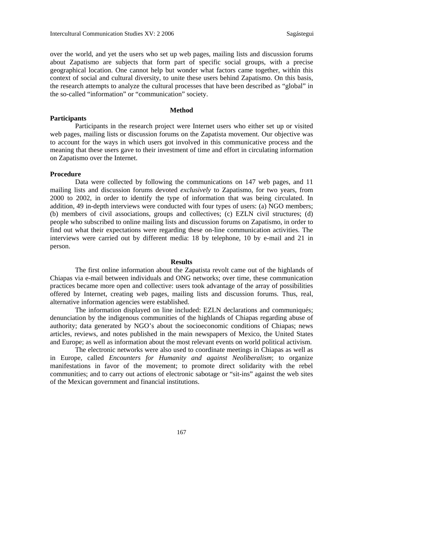over the world, and yet the users who set up web pages, mailing lists and discussion forums about Zapatismo are subjects that form part of specific social groups, with a precise geographical location. One cannot help but wonder what factors came together, within this context of social and cultural diversity, to unite these users behind Zapatismo. On this basis, the research attempts to analyze the cultural processes that have been described as "global" in the so-called "information" or "communication" society.

# **Method**

**Participants** 

Participants in the research project were Internet users who either set up or visited web pages, mailing lists or discussion forums on the Zapatista movement. Our objective was to account for the ways in which users got involved in this communicative process and the meaning that these users gave to their investment of time and effort in circulating information on Zapatismo over the Internet.

### **Procedure**

Data were collected by following the communications on 147 web pages, and 11 mailing lists and discussion forums devoted *exclusively* to Zapatismo, for two years, from 2000 to 2002, in order to identify the type of information that was being circulated. In addition, 49 in-depth interviews were conducted with four types of users: (a) NGO members; (b) members of civil associations, groups and collectives; (c) EZLN civil structures; (d) people who subscribed to online mailing lists and discussion forums on Zapatismo, in order to find out what their expectations were regarding these on-line communication activities. The interviews were carried out by different media: 18 by telephone, 10 by e-mail and 21 in person.

#### **Results**

The first online information about the Zapatista revolt came out of the highlands of Chiapas via e-mail between individuals and ONG networks; over time, these communication practices became more open and collective: users took advantage of the array of possibilities offered by Internet, creating web pages, mailing lists and discussion forums. Thus, real, alternative information agencies were established.

The information displayed on line included: EZLN declarations and communiqués; denunciation by the indigenous communities of the highlands of Chiapas regarding abuse of authority; data generated by NGO's about the socioeconomic conditions of Chiapas; news articles, reviews, and notes published in the main newspapers of Mexico, the United States and Europe; as well as information about the most relevant events on world political activism.

The electronic networks were also used to coordinate meetings in Chiapas as well as in Europe, called *Encounters for Humanity and against Neoliberalism*; to organize manifestations in favor of the movement; to promote direct solidarity with the rebel communities; and to carry out actions of electronic sabotage or "sit-ins" against the web sites of the Mexican government and financial institutions.

167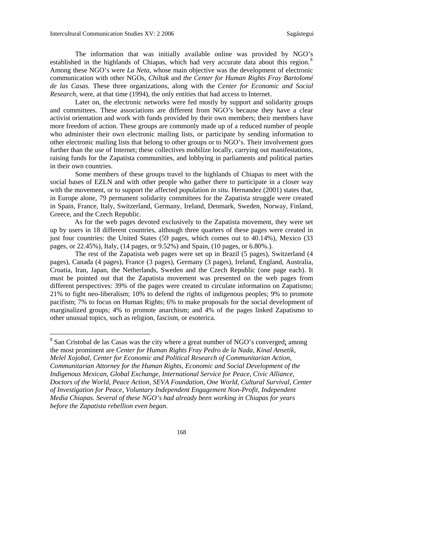$\overline{a}$ 

The information that was initially available online was provided by NGO's established in the highlands of Chiapas, which had very accurate data about this region.<sup>[8](#page-5-0)</sup> Among these NGO's were *La Neta,* whose main objective was the development of electronic communication with other NGOs, *Chiltak* and *the Center for Human Rights Fray Bartolomé de las Casas.* These three organizations, along with the *Center for Economic and Social Research,* were, at that time (1994), the only entities that had access to Internet.

Later on, the electronic networks were fed mostly by support and solidarity groups and committees. These associations are different from NGO's because they have a clear activist orientation and work with funds provided by their own members; their members have more freedom of action. These groups are commonly made up of a reduced number of people who administer their own electronic mailing lists, or participate by sending information to other electronic mailing lists that belong to other groups or to NGO's. Their involvement goes further than the use of Internet; these collectives mobilize locally, carrying out manifestations, raising funds for the Zapatista communities, and lobbying in parliaments and political parties in their own countries.

Some members of these groups travel to the highlands of Chiapas to meet with the social bases of EZLN and with other people who gather there to participate in a closer way with the movement, or to support the affected population *in situ*. Hernandez (2001) states that, in Europe alone, 79 permanent solidarity committees for the Zapatista struggle were created in Spain, France, Italy, Switzerland, Germany, Ireland, Denmark, Sweden, Norway, Finland, Greece, and the Czech Republic.

As for the web pages devoted exclusively to the Zapatista movement, they were set up by users in 18 different countries, although three quarters of these pages were created in just four countries: the United States (59 pages, which comes out to 40.14%), Mexico (33 pages, or 22.45%), Italy, (14 pages, or 9.52%) and Spain, (10 pages, or 6.80%.).

The rest of the Zapatista web pages were set up in Brazil (5 pages), Switzerland (4 pages), Canada (4 pages), France (3 pages), Germany (3 pages), Ireland, England, Australia, Croatia, Iran, Japan, the Netherlands, Sweden and the Czech Republic (one page each). It must be pointed out that the Zapatista movement was presented on the web pages from different perspectives: 39% of the pages were created to circulate information on Zapatismo; 21% to fight neo-liberalism; 10% to defend the rights of indigenous peoples; 9% to promote pacifism; 7% to focus on Human Rights; 6% to make proposals for the social development of marginalized groups; 4% to promote anarchism; and 4% of the pages linked Zapatismo to other unusual topics, such as religion, fascism, or esoterica.

<span id="page-5-0"></span><sup>&</sup>lt;sup>8</sup> San Cristobal de las Casas was the city where a great number of NGO's converged; among the most prominent are *Center for Human Rights Fray Pedro de la Nada, Kinal Ansetik, Melel Xojobal, Center for Economic and Political Research of Communitarian Action, Communitarian Attorney for the Human Rights, Economic and Social Development of the Indigenous Mexican, Global Exchange, International Service for Peace, Civic Alliance, Doctors of the World, Peace Action, SEVA Foundation, One World, Cultural Survival, Center of Investigation for Peace, Voluntary Independent Engagement Non-Profit, Independent Media Chiapas. Several of these NGO's had already been working in Chiapas for years before the Zapatista rebellion even began.* 

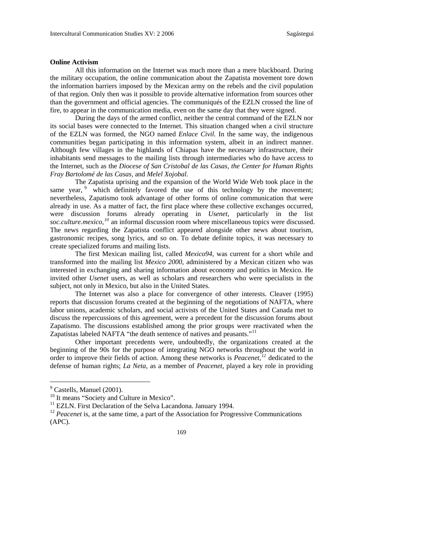# **Online Activism**

All this information on the Internet was much more than a mere blackboard. During the military occupation, the online communication about the Zapatista movement tore down the information barriers imposed by the Mexican army on the rebels and the civil population of that region. Only then was it possible to provide alternative information from sources other than the government and official agencies. The communiqués of the EZLN crossed the line of fire, to appear in the communication media, even on the same day that they were signed.

During the days of the armed conflict, neither the central command of the EZLN nor its social bases were connected to the Internet. This situation changed when a civil structure of the EZLN was formed, the NGO named *Enlace Civil.* In the same way, the indigenous communities began participating in this information system, albeit in an indirect manner. Although few villages in the highlands of Chiapas have the necessary infrastructure, their inhabitants send messages to the mailing lists through intermediaries who do have access to the Internet, such as the *Diocese of San Cristobal de las Casas, the Center for Human Rights Fray Bartolomé de las Casas,* and *Melel Xojobal.* 

The Zapatista uprising and the expansion of the World Wide Web took place in the same year,  $9$  which definitely favored the use of this technology by the movement; nevertheless, Zapatismo took advantage of other forms of online communication that were already in use. As a matter of fact, the first place where these collective exchanges occurred, were discussion forums already operating in *Usenet*, particularly in the list *soc.culture.mexico,[10](#page-6-1)* an informal discussion room where miscellaneous topics were discussed. The news regarding the Zapatista conflict appeared alongside other news about tourism, gastronomic recipes, song lyrics, and so on. To debate definite topics, it was necessary to create specialized forums and mailing lists.

The first Mexican mailing list, called *Mexico94*, was current for a short while and transformed into the mailing list *Mexico 2000*, administered by a Mexican citizen who was interested in exchanging and sharing information about economy and politics in Mexico. He invited other *Usenet* users, as well as scholars and researchers who were specialists in the subject, not only in Mexico, but also in the United States.

The Internet was also a place for convergence of other interests. Cleaver (1995) reports that discussion forums created at the beginning of the negotiations of NAFTA, where labor unions, academic scholars, and social activists of the United States and Canada met to discuss the repercussions of this agreement, were a precedent for the discussion forums about Zapatismo. The discussions established among the prior groups were reactivated when the Zapatistas labeled NAFTA "the death sentence of natives and peasants."<sup>[11](#page-6-2)</sup>

Other important precedents were, undoubtedly, the organizations created at the beginning of the 90s for the purpose of integrating NGO networks throughout the world in order to improve their fields of action. Among these networks is *Peacenet,[12](#page-6-3)* dedicated to the defense of human rights; *La Neta,* as a member of *Peacenet,* played a key role in providing

<span id="page-6-3"></span><span id="page-6-2"></span><sup>&</sup>lt;sup>12</sup> Peacenet is, at the same time, a part of the Association for Progressive Communications (APC).



<span id="page-6-0"></span><sup>&</sup>lt;sup>9</sup> Castells, Manuel (2001).

<span id="page-6-1"></span>

 $10$  It means "Society and Culture in Mexico".<br> $11$  EZLN. First Declaration of the Selva Lacandona. January 1994.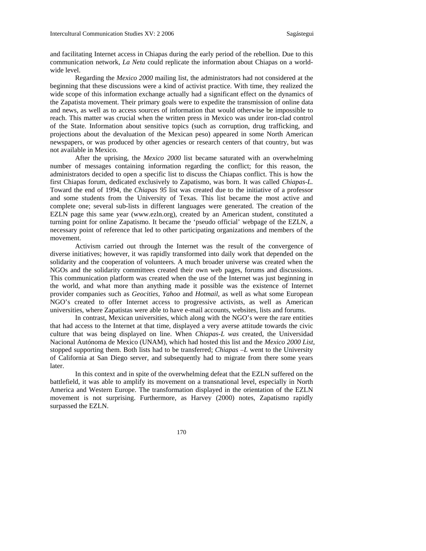and facilitating Internet access in Chiapas during the early period of the rebellion. Due to this communication network, *La Neta* could replicate the information about Chiapas on a worldwide level.

Regarding the *Mexico 2000* mailing list, the administrators had not considered at the beginning that these discussions were a kind of activist practice. With time, they realized the wide scope of this information exchange actually had a significant effect on the dynamics of the Zapatista movement. Their primary goals were to expedite the transmission of online data and news, as well as to access sources of information that would otherwise be impossible to reach. This matter was crucial when the written press in Mexico was under iron-clad control of the State. Information about sensitive topics (such as corruption, drug trafficking, and projections about the devaluation of the Mexican peso) appeared in some North American newspapers, or was produced by other agencies or research centers of that country, but was not available in Mexico.

After the uprising, the *Mexico 2000* list became saturated with an overwhelming number of messages containing information regarding the conflict; for this reason, the administrators decided to open a specific list to discuss the Chiapas conflict. This is how the first Chiapas forum, dedicated exclusively to Zapatismo, was born. It was called *Chiapas-L.*  Toward the end of 1994, the *Chiapas 95* list was created due to the initiative of a professor and some students from the University of Texas. This list became the most active and complete one; several sub-lists in different languages were generated. The creation of the EZLN page this same year (www.ezln.org), created by an American student, constituted a turning point for online Zapatismo. It became the 'pseudo official' webpage of the EZLN, a necessary point of reference that led to other participating organizations and members of the movement.

Activism carried out through the Internet was the result of the convergence of diverse initiatives; however, it was rapidly transformed into daily work that depended on the solidarity and the cooperation of volunteers. A much broader universe was created when the NGOs and the solidarity committees created their own web pages, forums and discussions. This communication platform was created when the use of the Internet was just beginning in the world, and what more than anything made it possible was the existence of Internet provider companies such as *Geocities*, *Yahoo* and *Hotmail*, as well as what some European NGO's created to offer Internet access to progressive activists, as well as American universities, where Zapatistas were able to have e-mail accounts, websites, lists and forums.

In contrast, Mexican universities, which along with the NGO's were the rare entities that had access to the Internet at that time, displayed a very averse attitude towards the civic culture that was being displayed on line. When *Chiapas-L was* created, the Universidad Nacional Autónoma de Mexico (UNAM), which had hosted this list and the *Mexico 2000 List,*  stopped supporting them. Both lists had to be transferred; *Chiapas –L* went to the University of California at San Diego server, and subsequently had to migrate from there some years later.

In this context and in spite of the overwhelming defeat that the EZLN suffered on the battlefield, it was able to amplify its movement on a transnational level, especially in North America and Western Europe. The transformation displayed in the orientation of the EZLN movement is not surprising. Furthermore, as Harvey (2000) notes, Zapatismo rapidly surpassed the EZLN.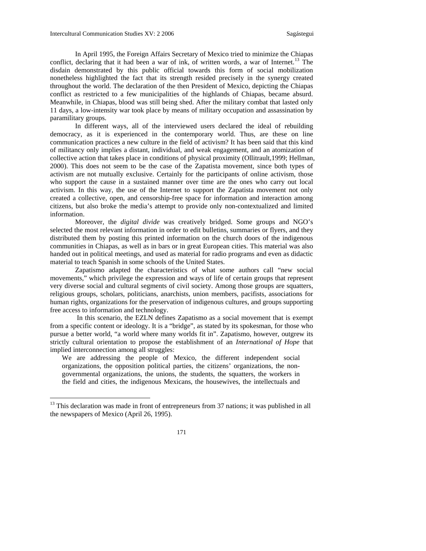In April 1995, the Foreign Affairs Secretary of Mexico tried to minimize the Chiapas conflict, declaring that it had been a war of ink, of written words, a war of Internet.<sup>[13](#page-8-0)</sup> The disdain demonstrated by this public official towards this form of social mobilization nonetheless highlighted the fact that its strength resided precisely in the synergy created throughout the world. The declaration of the then President of Mexico, depicting the Chiapas conflict as restricted to a few municipalities of the highlands of Chiapas, became absurd. Meanwhile, in Chiapas, blood was still being shed. After the military combat that lasted only 11 days, a low-intensity war took place by means of military occupation and assassination by paramilitary groups.

In different ways, all of the interviewed users declared the ideal of rebuilding democracy, as it is experienced in the contemporary world. Thus, are these on line communication practices a new culture in the field of activism? It has been said that this kind of militancy only implies a distant, individual, and weak engagement, and an atomization of collective action that takes place in conditions of physical proximity (Ollitrault,1999; Hellman, 2000). This does not seem to be the case of the Zapatista movement, since both types of activism are not mutually exclusive. Certainly for the participants of online activism, those who support the cause in a sustained manner over time are the ones who carry out local activism. In this way, the use of the Internet to support the Zapatista movement not only created a collective, open, and censorship-free space for information and interaction among citizens, but also broke the media's attempt to provide only non-contextualized and limited information.

Moreover, the *digital divide* was creatively bridged. Some groups and NGO's selected the most relevant information in order to edit bulletins, summaries or flyers, and they distributed them by posting this printed information on the church doors of the indigenous communities in Chiapas, as well as in bars or in great European cities. This material was also handed out in political meetings, and used as material for radio programs and even as didactic material to teach Spanish in some schools of the United States.

Zapatismo adapted the characteristics of what some authors call "new social movements," which privilege the expression and ways of life of certain groups that represent very diverse social and cultural segments of civil society. Among those groups are squatters, religious groups, scholars, politicians, anarchists, union members, pacifists, associations for human rights, organizations for the preservation of indigenous cultures, and groups supporting free access to information and technology.

 In this scenario, the EZLN defines Zapatismo as a social movement that is exempt from a specific content or ideology. It is a "bridge", as stated by its spokesman, for those who pursue a better world, "a world where many worlds fit in". Zapatismo, however, outgrew its strictly cultural orientation to propose the establishment of an *International of Hope* that implied interconnection among all struggles:

We are addressing the people of Mexico, the different independent social organizations, the opposition political parties, the citizens' organizations, the nongovernmental organizations, the unions, the students, the squatters, the workers in the field and cities, the indigenous Mexicans, the housewives, the intellectuals and



<span id="page-8-0"></span> $13$  This declaration was made in front of entrepreneurs from 37 nations; it was published in all the newspapers of Mexico (April 26, 1995).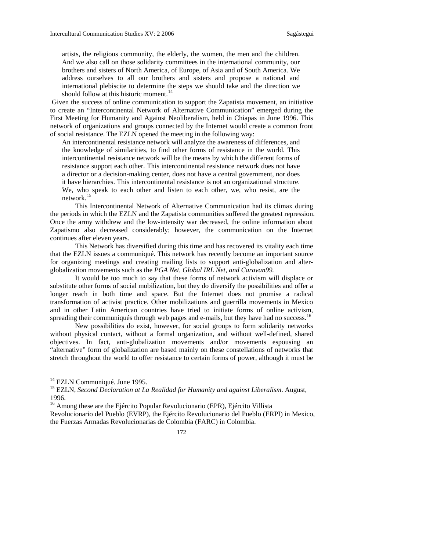artists, the religious community, the elderly, the women, the men and the children. And we also call on those solidarity committees in the international community, our brothers and sisters of North America, of Europe, of Asia and of South America. We address ourselves to all our brothers and sisters and propose a national and international plebiscite to determine the steps we should take and the direction we should follow at this historic moment.<sup>[14](#page-9-0)</sup>

 Given the success of online communication to support the Zapatista movement, an initiative to create an "Intercontinental Network of Alternative Communication" emerged during the First Meeting for Humanity and Against Neoliberalism, held in Chiapas in June 1996. This network of organizations and groups connected by the Internet would create a common front of social resistance. The EZLN opened the meeting in the following way:

An intercontinental resistance network will analyze the awareness of differences, and the knowledge of similarities, to find other forms of resistance in the world. This intercontinental resistance network will be the means by which the different forms of resistance support each other. This intercontinental resistance network does not have a director or a decision-making center, does not have a central government, nor does it have hierarchies. This intercontinental resistance is not an organizational structure. We, who speak to each other and listen to each other, we, who resist, are the network.[15](#page-9-1)

This Intercontinental Network of Alternative Communication had its climax during the periods in which the EZLN and the Zapatista communities suffered the greatest repression. Once the army withdrew and the low-intensity war decreased, the online information about Zapatismo also decreased considerably; however, the communication on the Internet continues after eleven years.

This Network has diversified during this time and has recovered its vitality each time that the EZLN issues a communiqué. This network has recently become an important source for organizing meetings and creating mailing lists to support anti-globalization and alterglobalization movements such as the *PGA Net, Global IRL Net, and Caravan99.* 

It would be too much to say that these forms of network activism will displace or substitute other forms of social mobilization, but they do diversify the possibilities and offer a longer reach in both time and space. But the Internet does not promise a radical transformation of activist practice. Other mobilizations and guerrilla movements in Mexico and in other Latin American countries have tried to initiate forms of online activism, spreading their communiqués through web pages and e-mails, but they have had no success.<sup>[16](#page-9-2)</sup>

New possibilities do exist, however, for social groups to form solidarity networks without physical contact, without a formal organization, and without well-defined, shared objectives. In fact, anti-globalization movements and/or movements espousing an "alternative" form of globalization are based mainly on these constellations of networks that stretch throughout the world to offer resistance to certain forms of power, although it must be

<span id="page-9-2"></span><sup>&</sup>lt;sup>16</sup> Among these are the Ejército Popular Revolucionario (EPR), Ejército Villista Revolucionario del Pueblo (EVRP), the Ejército Revolucionario del Pueblo (ERPI) in Mexico, the Fuerzas Armadas Revolucionarias de Colombia (FARC) in Colombia.



<span id="page-9-0"></span><sup>&</sup>lt;sup>14</sup> EZLN Communiqué. June 1995.

<span id="page-9-1"></span><sup>15</sup> EZLN, *Second Declaration at La Realidad for Humanity and against Liberalism*. August, 1996.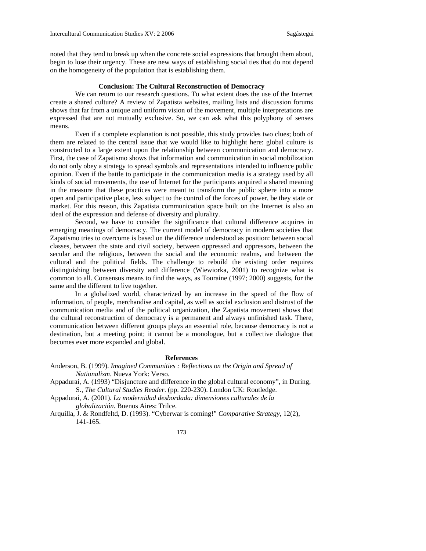noted that they tend to break up when the concrete social expressions that brought them about, begin to lose their urgency. These are new ways of establishing social ties that do not depend on the homogeneity of the population that is establishing them.

# **Conclusion: The Cultural Reconstruction of Democracy**

We can return to our research questions. To what extent does the use of the Internet create a shared culture? A review of Zapatista websites, mailing lists and discussion forums shows that far from a unique and uniform vision of the movement, multiple interpretations are expressed that are not mutually exclusive. So, we can ask what this polyphony of senses means.

Even if a complete explanation is not possible, this study provides two clues; both of them are related to the central issue that we would like to highlight here: global culture is constructed to a large extent upon the relationship between communication and democracy. First, the case of Zapatismo shows that information and communication in social mobilization do not only obey a strategy to spread symbols and representations intended to influence public opinion. Even if the battle to participate in the communication media is a strategy used by all kinds of social movements, the use of Internet for the participants acquired a shared meaning in the measure that these practices were meant to transform the public sphere into a more open and participative place, less subject to the control of the forces of power, be they state or market. For this reason, this Zapatista communication space built on the Internet is also an ideal of the expression and defense of diversity and plurality.

Second, we have to consider the significance that cultural difference acquires in emerging meanings of democracy. The current model of democracy in modern societies that Zapatismo tries to overcome is based on the difference understood as position: between social classes, between the state and civil society, between oppressed and oppressors, between the secular and the religious, between the social and the economic realms, and between the cultural and the political fields. The challenge to rebuild the existing order requires distinguishing between diversity and difference (Wiewiorka, 2001) to recognize what is common to all. Consensus means to find the ways, as Touraine (1997; 2000) suggests, for the same and the different to live together.

In a globalized world, characterized by an increase in the speed of the flow of information, of people, merchandise and capital, as well as social exclusion and distrust of the communication media and of the political organization, the Zapatista movement shows that the cultural reconstruction of democracy is a permanent and always unfinished task. There, communication between different groups plays an essential role, because democracy is not a destination, but a meeting point; it cannot be a monologue, but a collective dialogue that becomes ever more expanded and global.

#### **References**

- Anderson, B. (1999). *Imagined Communities : Reflections on the Origin and Spread of Nationalism*. Nueva York: Verso.
- Appadurai, A. (1993) "Disjuncture and difference in the global cultural economy", in During, S., *The Cultural Studies Reader*. (pp. 220-230). London UK: Routledge.
- Appadurai, A. (2001). *La modernidad desbordada: dimensiones culturales de la globalización*. Buenos Aires: Trilce.
- Arquilla, J. & Rondfeltd, D. (1993). "Cyberwar is coming!" *Comparative Strategy*, 12(2), 141-165.
	- 173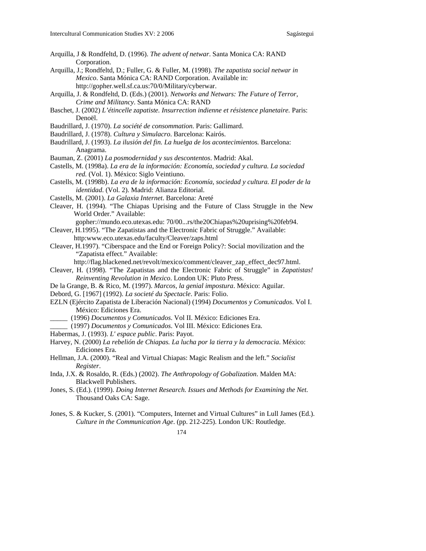- Arquilla, J & Rondfeltd, D. (1996). *The advent of netwar*. Santa Monica CA: RAND Corporation.
- Arquilla, J.; Rondfeltd, D.; Fuller, G. & Fuller, M. (1998). *The zapatista social netwar in Mexico*. Santa Mónica CA: RAND Corporation. Available in: http://gopher.well.sf.ca.us:70/0/Military/cyberwar.
- Arquilla, J. & Rondfeltd, D. (Eds.) (2001). *Networks and Netwars: The Future of Terror, Crime and Militancy*. Santa Mónica CA: RAND
- Baschet, J. (2002) *L'étincelle zapatiste. Insurrection indienne et résistence planetaire.* Paris: Denoël.
- Baudrillard, J. (1970). *La société de consommation*. Paris: Gallimard.
- Baudrillard, J. (1978). *Cultura y Simulacro*. Barcelona: Kairós.
- Baudrillard, J. (1993). *La ilusión del fin. La huelga de los acontecimientos.* Barcelona: Anagrama.
- Bauman, Z. (2001) *La posmodernidad y sus descontentos*. Madrid: Akal.
- Castells, M. (1998a). *La era de la información: Economía, sociedad y cultura. La sociedad red.* (Vol. 1). México: Siglo Veintiuno.
- Castells, M. (1998b). *La era de la información: Economía, sociedad y cultura. El poder de la identidad*. (Vol. 2). Madrid: Alianza Editorial.
- Castells, M. (2001). *La Galaxia Internet*. Barcelona: Areté
- Cleaver, H. (1994). "The Chiapas Uprising and the Future of Class Struggle in the New World Order." Available:

gopher://mundo.eco.utexas.edu: 70/00...rs/the20Chiapas%20uprising%20feb94.

- Cleaver, H.1995). "The Zapatistas and the Electronic Fabric of Struggle." Available: http:www.eco.utexas.edu/faculty/Cleaver/zaps.html
- Cleaver, H.1997). "Ciberspace and the End or Foreign Policy?: Social movilization and the "Zapatista effect." Available:

http://flag.blackened.net/revolt/mexico/comment/cleaver\_zap\_effect\_dec97.html.

- Cleaver, H. (1998). "The Zapatistas and the Electronic Fabric of Struggle" in *Zapatistas! Reinventing Revolution in Mexico*. London UK: Pluto Press.
- De la Grange, B. & Rico, M. (1997). *Marcos, la genial impostura*. México: Aguilar.
- Debord, G. [1967] (1992). *La societé du Spectacle*. Paris: Folio.
- EZLN (Ejército Zapatista de Liberación Nacional) (1994) *Documentos y Comunicados*. Vol I. México: Ediciones Era.
	- \_\_\_\_\_ (1996) *Documentos y Comunicados*. Vol II. México: Ediciones Era.
	- \_\_\_\_\_ (1997) *Documentos y Comunicados*. Vol III. México: Ediciones Era.
- Habermas, J. (1993). *L' espace public*. Paris: Payot.
- Harvey, N. (2000) *La rebelión de Chiapas. La lucha por la tierra y la democracia*. México: Ediciones Era.
- Hellman, J.A. (2000). "Real and Virtual Chiapas: Magic Realism and the left." *Socialist Register*.
- Inda, J.X. & Rosaldo, R. (Eds.) (2002). *The Anthropology of Gobalization*. Malden MA: Blackwell Publishers.
- Jones, S. (Ed.). (1999). *Doing Internet Research. Issues and Methods for Examining the Net*. Thousand Oaks CA: Sage.
- Jones, S. & Kucker, S. (2001). "Computers, Internet and Virtual Cultures" in Lull James (Ed.). *Culture in the Communication Age*. (pp. 212-225). London UK: Routledge.
	- 174